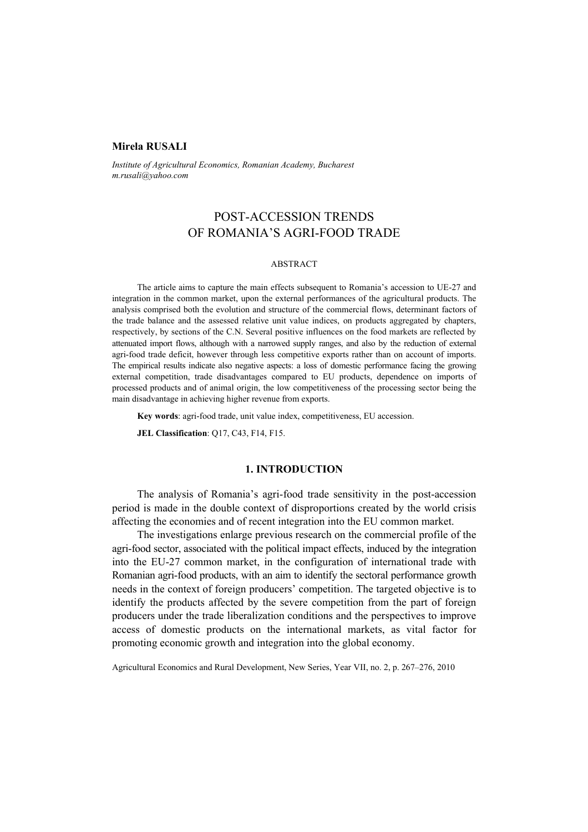### **Mirela RUSALI**

*Institute of Agricultural Economics, Romanian Academy, Bucharest m.rusali@yahoo.com* 

# POST-ACCESSION TRENDS OF ROMANIA'S AGRI-FOOD TRADE

### ABSTRACT

The article aims to capture the main effects subsequent to Romania's accession to UE-27 and integration in the common market, upon the external performances of the agricultural products. The analysis comprised both the evolution and structure of the commercial flows, determinant factors of the trade balance and the assessed relative unit value indices, on products aggregated by chapters, respectively, by sections of the C.N. Several positive influences on the food markets are reflected by attenuated import flows, although with a narrowed supply ranges, and also by the reduction of external agri-food trade deficit, however through less competitive exports rather than on account of imports. The empirical results indicate also negative aspects: a loss of domestic performance facing the growing external competition, trade disadvantages compared to EU products, dependence on imports of processed products and of animal origin, the low competitiveness of the processing sector being the main disadvantage in achieving higher revenue from exports.

**Key words**: agri-food trade, unit value index, competitiveness, EU accession.

**JEL Classification**: Q17, C43, F14, F15.

### **1. INTRODUCTION**

The analysis of Romania's agri-food trade sensitivity in the post-accession period is made in the double context of disproportions created by the world crisis affecting the economies and of recent integration into the EU common market.

The investigations enlarge previous research on the commercial profile of the agri-food sector, associated with the political impact effects, induced by the integration into the EU-27 common market, in the configuration of international trade with Romanian agri-food products, with an aim to identify the sectoral performance growth needs in the context of foreign producers' competition. The targeted objective is to identify the products affected by the severe competition from the part of foreign producers under the trade liberalization conditions and the perspectives to improve access of domestic products on the international markets, as vital factor for promoting economic growth and integration into the global economy.

Agricultural Economics and Rural Development, New Series, Year VII, no. 2, p. 267–276, 2010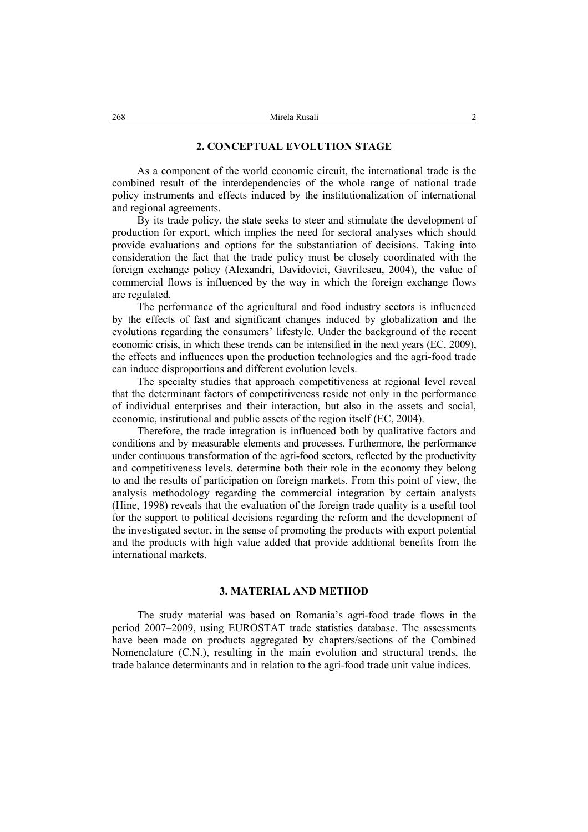### **2. CONCEPTUAL EVOLUTION STAGE**

As a component of the world economic circuit, the international trade is the combined result of the interdependencies of the whole range of national trade policy instruments and effects induced by the institutionalization of international and regional agreements.

By its trade policy, the state seeks to steer and stimulate the development of production for export, which implies the need for sectoral analyses which should provide evaluations and options for the substantiation of decisions. Taking into consideration the fact that the trade policy must be closely coordinated with the foreign exchange policy (Alexandri, Davidovici, Gavrilescu, 2004), the value of commercial flows is influenced by the way in which the foreign exchange flows are regulated.

The performance of the agricultural and food industry sectors is influenced by the effects of fast and significant changes induced by globalization and the evolutions regarding the consumers' lifestyle. Under the background of the recent economic crisis, in which these trends can be intensified in the next years (EC, 2009), the effects and influences upon the production technologies and the agri-food trade can induce disproportions and different evolution levels.

The specialty studies that approach competitiveness at regional level reveal that the determinant factors of competitiveness reside not only in the performance of individual enterprises and their interaction, but also in the assets and social, economic, institutional and public assets of the region itself (EC, 2004).

Therefore, the trade integration is influenced both by qualitative factors and conditions and by measurable elements and processes. Furthermore, the performance under continuous transformation of the agri-food sectors, reflected by the productivity and competitiveness levels, determine both their role in the economy they belong to and the results of participation on foreign markets. From this point of view, the analysis methodology regarding the commercial integration by certain analysts (Hine, 1998) reveals that the evaluation of the foreign trade quality is a useful tool for the support to political decisions regarding the reform and the development of the investigated sector, in the sense of promoting the products with export potential and the products with high value added that provide additional benefits from the international markets.

### **3. MATERIAL AND METHOD**

The study material was based on Romania's agri-food trade flows in the period 2007–2009, using EUROSTAT trade statistics database. The assessments have been made on products aggregated by chapters/sections of the Combined Nomenclature (C.N.), resulting in the main evolution and structural trends, the trade balance determinants and in relation to the agri-food trade unit value indices.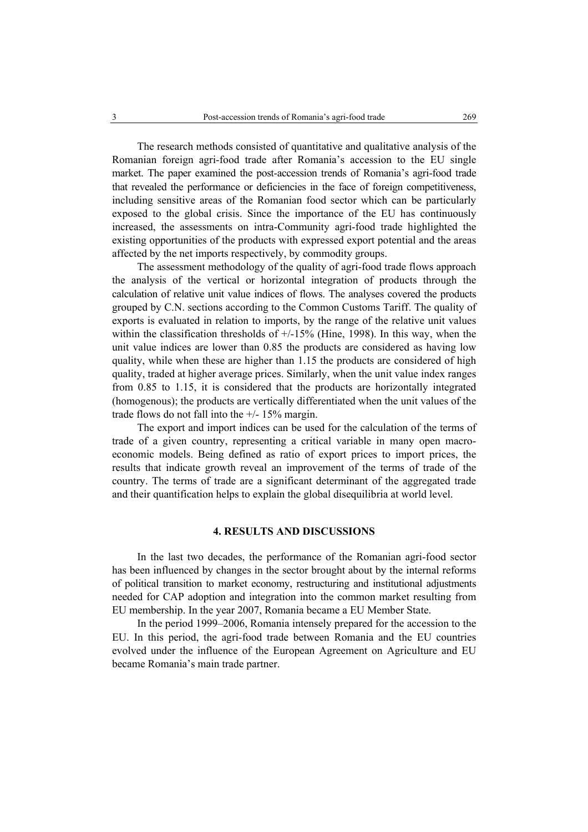The research methods consisted of quantitative and qualitative analysis of the Romanian foreign agri-food trade after Romania's accession to the EU single market. The paper examined the post-accession trends of Romania's agri-food trade that revealed the performance or deficiencies in the face of foreign competitiveness, including sensitive areas of the Romanian food sector which can be particularly exposed to the global crisis. Since the importance of the EU has continuously increased, the assessments on intra-Community agri-food trade highlighted the existing opportunities of the products with expressed export potential and the areas affected by the net imports respectively, by commodity groups.

The assessment methodology of the quality of agri-food trade flows approach the analysis of the vertical or horizontal integration of products through the calculation of relative unit value indices of flows. The analyses covered the products grouped by C.N. sections according to the Common Customs Tariff. The quality of exports is evaluated in relation to imports, by the range of the relative unit values within the classification thresholds of  $+/15%$  (Hine, 1998). In this way, when the unit value indices are lower than 0.85 the products are considered as having low quality, while when these are higher than 1.15 the products are considered of high quality, traded at higher average prices. Similarly, when the unit value index ranges from 0.85 to 1.15, it is considered that the products are horizontally integrated (homogenous); the products are vertically differentiated when the unit values of the trade flows do not fall into the  $+/- 15\%$  margin.

The export and import indices can be used for the calculation of the terms of trade of a given country, representing a critical variable in many open macroeconomic models. Being defined as ratio of export prices to import prices, the results that indicate growth reveal an improvement of the terms of trade of the country. The terms of trade are a significant determinant of the aggregated trade and their quantification helps to explain the global disequilibria at world level.

## **4. RESULTS AND DISCUSSIONS**

In the last two decades, the performance of the Romanian agri-food sector has been influenced by changes in the sector brought about by the internal reforms of political transition to market economy, restructuring and institutional adjustments needed for CAP adoption and integration into the common market resulting from EU membership. In the year 2007, Romania became a EU Member State.

In the period 1999–2006, Romania intensely prepared for the accession to the EU. In this period, the agri-food trade between Romania and the EU countries evolved under the influence of the European Agreement on Agriculture and EU became Romania's main trade partner.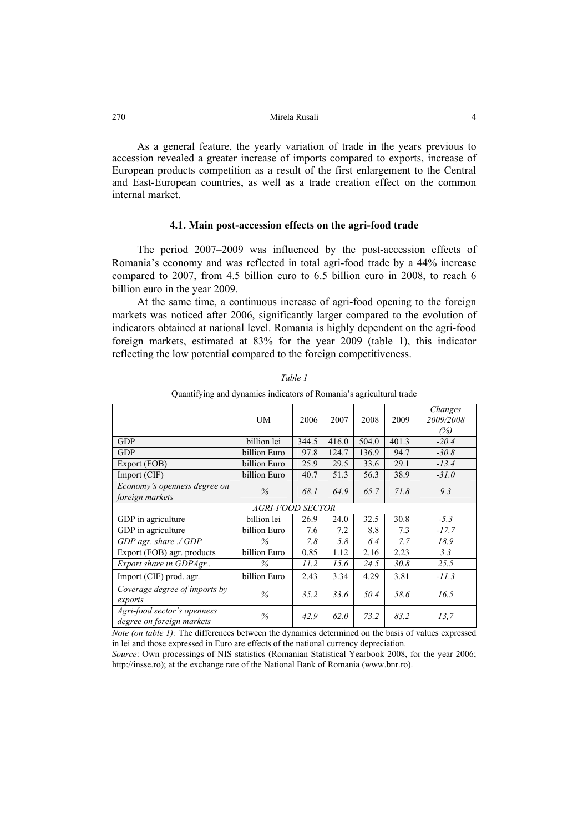As a general feature, the yearly variation of trade in the years previous to accession revealed a greater increase of imports compared to exports, increase of European products competition as a result of the first enlargement to the Central and East-European countries, as well as a trade creation effect on the common internal market.

#### **4.1. Main post-accession effects on the agri-food trade**

The period 2007–2009 was influenced by the post-accession effects of Romania's economy and was reflected in total agri-food trade by a 44% increase compared to 2007, from 4.5 billion euro to 6.5 billion euro in 2008, to reach 6 billion euro in the year 2009.

At the same time, a continuous increase of agri-food opening to the foreign markets was noticed after 2006, significantly larger compared to the evolution of indicators obtained at national level. Romania is highly dependent on the agri-food foreign markets, estimated at 83% for the year 2009 (table 1), this indicator reflecting the low potential compared to the foreign competitiveness.

|                                                          | UM           | 2006  | 2007  | 2008  | 2009  | Changes<br>2009/2008<br>(%) |
|----------------------------------------------------------|--------------|-------|-------|-------|-------|-----------------------------|
| <b>GDP</b>                                               | billion lei  | 344.5 | 416.0 | 504.0 | 401.3 | $-20.4$                     |
| <b>GDP</b>                                               | billion Euro | 97.8  | 124.7 | 136.9 | 94.7  | $-30.8$                     |
| Export (FOB)                                             | billion Euro | 25.9  | 29.5  | 33.6  | 29.1  | $-13.4$                     |
| Import (CIF)                                             | billion Euro | 40.7  | 51.3  | 56.3  | 38.9  | $-31.0$                     |
| Economy's openness degree on<br>foreign markets          | $\%$         | 68.1  | 64.9  | 65.7  | 71.8  | 9.3                         |
| <b>AGRI-FOOD SECTOR</b>                                  |              |       |       |       |       |                             |
| GDP in agriculture                                       | billion lei  | 26.9  | 24.0  | 32.5  | 30.8  | $-5.3$                      |
| GDP in agriculture                                       | billion Euro | 7.6   | 7.2   | 8.8   | 7.3   | $-17.7$                     |
| GDP agr. share ./ GDP                                    | $\%$         | 7.8   | 5.8   | 6.4   | 7.7   | 18.9                        |
| Export (FOB) agr. products                               | billion Euro | 0.85  | 1.12  | 2.16  | 2.23  | 3.3                         |
| Export share in GDPAgr                                   | $\%$         | 11.2  | 15.6  | 24.5  | 30.8  | 25.5                        |
| Import (CIF) prod. agr.                                  | billion Euro | 2.43  | 3.34  | 4.29  | 3.81  | $-11.3$                     |
| Coverage degree of imports by<br>exports                 | $\%$         | 35.2  | 33.6  | 50.4  | 58.6  | 16.5                        |
| Agri-food sector's openness<br>degree on foreign markets | $\%$         | 42.9  | 62.0  | 73.2  | 83.2  | 13,7                        |

*Table 1* 

Quantifying and dynamics indicators of Romania's agricultural trade

*Note (on table 1):* The differences between the dynamics determined on the basis of values expressed in lei and those expressed in Euro are effects of the national currency depreciation.

*Source*: Own processings of NIS statistics (Romanian Statistical Yearbook 2008, for the year 2006; http://insse.ro); at the exchange rate of the National Bank of Romania (www.bnr.ro).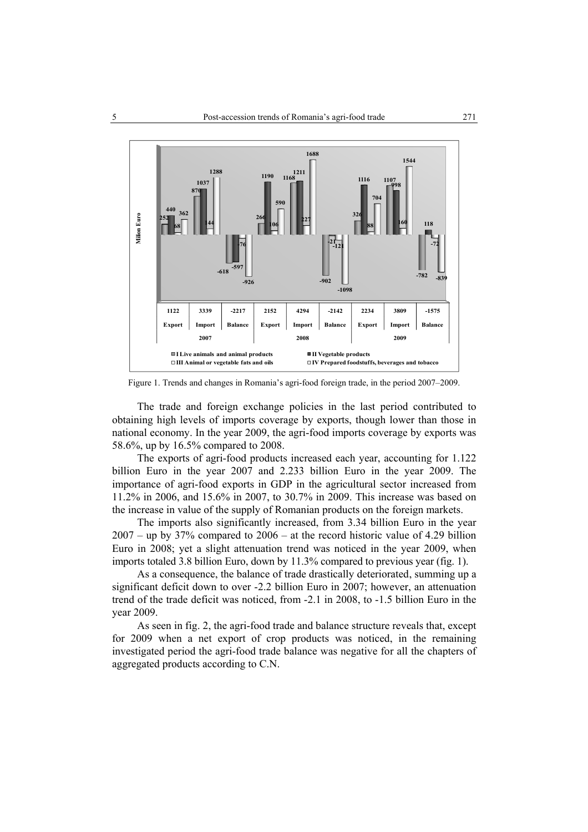

Figure 1. Trends and changes in Romania's agri-food foreign trade, in the period 2007–2009.

The trade and foreign exchange policies in the last period contributed to obtaining high levels of imports coverage by exports, though lower than those in national economy. In the year 2009, the agri-food imports coverage by exports was 58.6%, up by 16.5% compared to 2008.

The exports of agri-food products increased each year, accounting for 1.122 billion Euro in the year 2007 and 2.233 billion Euro in the year 2009. The importance of agri-food exports in GDP in the agricultural sector increased from 11.2% in 2006, and 15.6% in 2007, to 30.7% in 2009. This increase was based on the increase in value of the supply of Romanian products on the foreign markets.

The imports also significantly increased, from 3.34 billion Euro in the year 2007 – up by 37% compared to 2006 – at the record historic value of 4.29 billion Euro in 2008; yet a slight attenuation trend was noticed in the year 2009, when imports totaled 3.8 billion Euro, down by 11.3% compared to previous year (fig. 1).

As a consequence, the balance of trade drastically deteriorated, summing up a significant deficit down to over -2.2 billion Euro in 2007; however, an attenuation trend of the trade deficit was noticed, from -2.1 in 2008, to -1.5 billion Euro in the year 2009.

As seen in fig. 2, the agri-food trade and balance structure reveals that, except for 2009 when a net export of crop products was noticed, in the remaining investigated period the agri-food trade balance was negative for all the chapters of aggregated products according to C.N.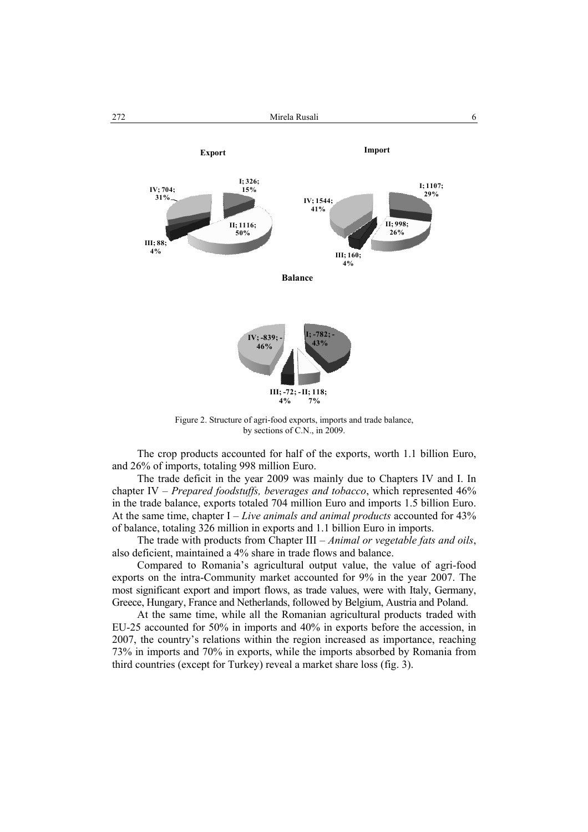

Figure 2. Structure of agri-food exports, imports and trade balance, by sections of C.N., in 2009.

The crop products accounted for half of the exports, worth 1.1 billion Euro, and 26% of imports, totaling 998 million Euro.

The trade deficit in the year 2009 was mainly due to Chapters IV and I. In chapter IV – *Prepared foodstuffs, beverages and tobacco*, which represented 46% in the trade balance, exports totaled 704 million Euro and imports 1.5 billion Euro. At the same time, chapter I – *Live animals and animal products* accounted for 43% of balance, totaling 326 million in exports and 1.1 billion Euro in imports.

The trade with products from Chapter III – *Animal or vegetable fats and oils*, also deficient, maintained a 4% share in trade flows and balance.

Compared to Romania's agricultural output value, the value of agri-food exports on the intra-Community market accounted for 9% in the year 2007. The most significant export and import flows, as trade values, were with Italy, Germany, Greece, Hungary, France and Netherlands, followed by Belgium, Austria and Poland.

At the same time, while all the Romanian agricultural products traded with EU-25 accounted for 50% in imports and 40% in exports before the accession, in 2007, the country's relations within the region increased as importance, reaching 73% in imports and 70% in exports, while the imports absorbed by Romania from third countries (except for Turkey) reveal a market share loss (fig. 3).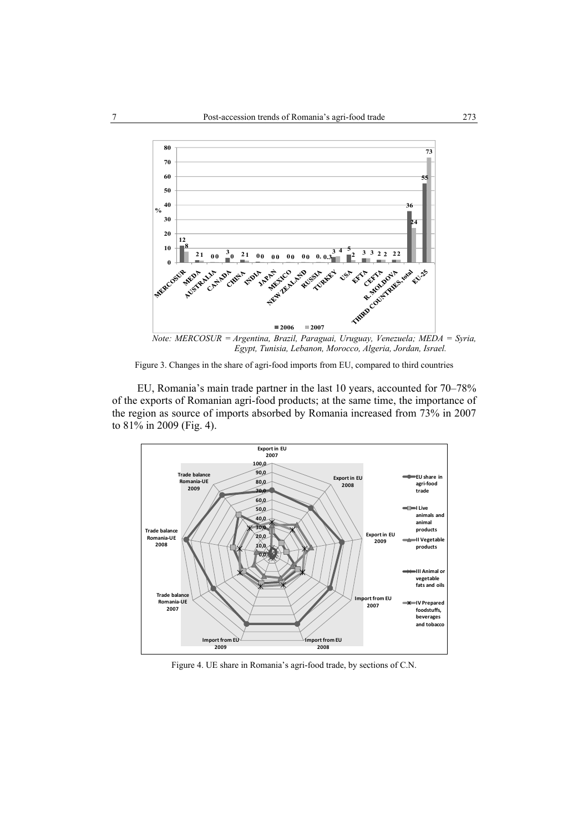

*Note: MERCOSUR = Argentina, Brazil, Paraguai, Uruguay, Venezuela; MEDA = Syria, Egypt, Tunisia, Lebanon, Morocco, Algeria, Jordan, Israel.*

Figure 3. Changes in the share of agri-food imports from EU, compared to third countries

EU, Romania's main trade partner in the last 10 years, accounted for 70–78% of the exports of Romanian agri-food products; at the same time, the importance of the region as source of imports absorbed by Romania increased from 73% in 2007 to 81% in 2009 (Fig. 4).



Figure 4. UE share in Romania's agri-food trade, by sections of C.N.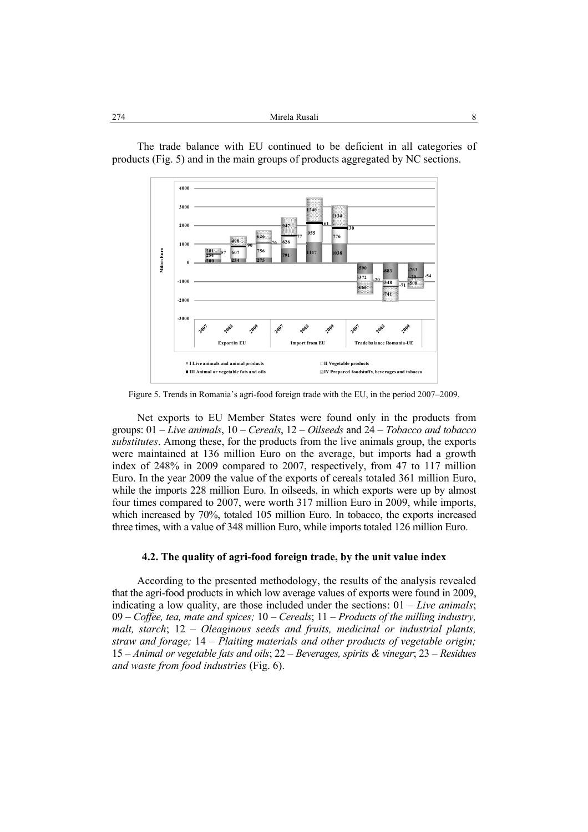| 274<br>Mirela Rusali |  |
|----------------------|--|
|----------------------|--|



The trade balance with EU continued to be deficient in all categories of products (Fig. 5) and in the main groups of products aggregated by NC sections.

Figure 5. Trends in Romania's agri-food foreign trade with the EU, in the period 2007–2009.

Net exports to EU Member States were found only in the products from groups: 01 – *Live animals*, 10 – *Cereals*, 12 – *Oilseeds* and 24 – *Tobacco and tobacco substitutes*. Among these, for the products from the live animals group, the exports were maintained at 136 million Euro on the average, but imports had a growth index of 248% in 2009 compared to 2007, respectively, from 47 to 117 million Euro. In the year 2009 the value of the exports of cereals totaled 361 million Euro, while the imports 228 million Euro. In oilseeds, in which exports were up by almost four times compared to 2007, were worth 317 million Euro in 2009, while imports, which increased by 70%, totaled 105 million Euro. In tobacco, the exports increased three times, with a value of 348 million Euro, while imports totaled 126 million Euro.

### **4.2. The quality of agri-food foreign trade, by the unit value index**

According to the presented methodology, the results of the analysis revealed that the agri-food products in which low average values of exports were found in 2009, indicating a low quality, are those included under the sections: 01 – *Live animals*; 09 – *Coffee, tea, mate and spices;* 10 – *Cereals*; 11 – *Products of the milling industry, malt, starch*; 12 – *Oleaginous seeds and fruits, medicinal or industrial plants, straw and forage;* 14 – *Plaiting materials and other products of vegetable origin;* 15 – *Animal or vegetable fats and oils*; 22 – *Beverages, spirits & vinegar*; 23 – *Residues and waste from food industries* (Fig. 6).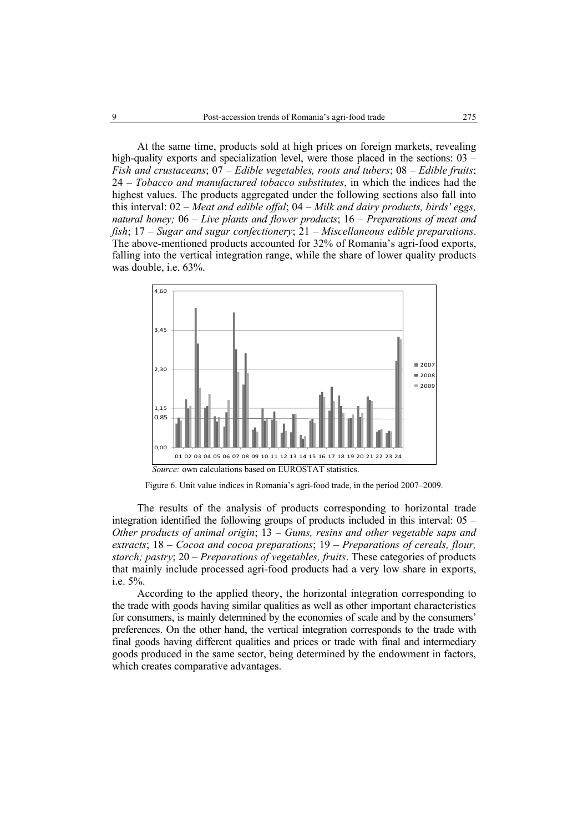At the same time, products sold at high prices on foreign markets, revealing high-quality exports and specialization level, were those placed in the sections: 03 – *Fish and crustaceans*; 07 – *Edible vegetables, roots and tubers*; 08 – *Edible fruits*; 24 – *Tobacco and manufactured tobacco substitutes*, in which the indices had the highest values. The products aggregated under the following sections also fall into this interval: 02 – *Meat and edible offal*; 04 – *Milk and dairy products, birds' eggs, natural honey;* 06 – *Live plants and flower products*; 16 – *Preparations of meat and fish*; 17 – *Sugar and sugar confectionery*; 21 – *Miscellaneous edible preparations*. The above-mentioned products accounted for 32% of Romania's agri-food exports, falling into the vertical integration range, while the share of lower quality products was double, i.e. 63%.



Figure 6. Unit value indices in Romania's agri-food trade, in the period 2007–2009.

The results of the analysis of products corresponding to horizontal trade integration identified the following groups of products included in this interval: 05 – *Other products of animal origin*; 13 – *Gums, resins and other vegetable saps and extracts*; 18 – *Cocoa and cocoa preparations*; 19 – *Preparations of cereals, flour, starch; pastry*; 20 – *Preparations of vegetables, fruits*. These categories of products that mainly include processed agri-food products had a very low share in exports, i.e. 5%.

According to the applied theory, the horizontal integration corresponding to the trade with goods having similar qualities as well as other important characteristics for consumers, is mainly determined by the economies of scale and by the consumers' preferences. On the other hand, the vertical integration corresponds to the trade with final goods having different qualities and prices or trade with final and intermediary goods produced in the same sector, being determined by the endowment in factors, which creates comparative advantages.